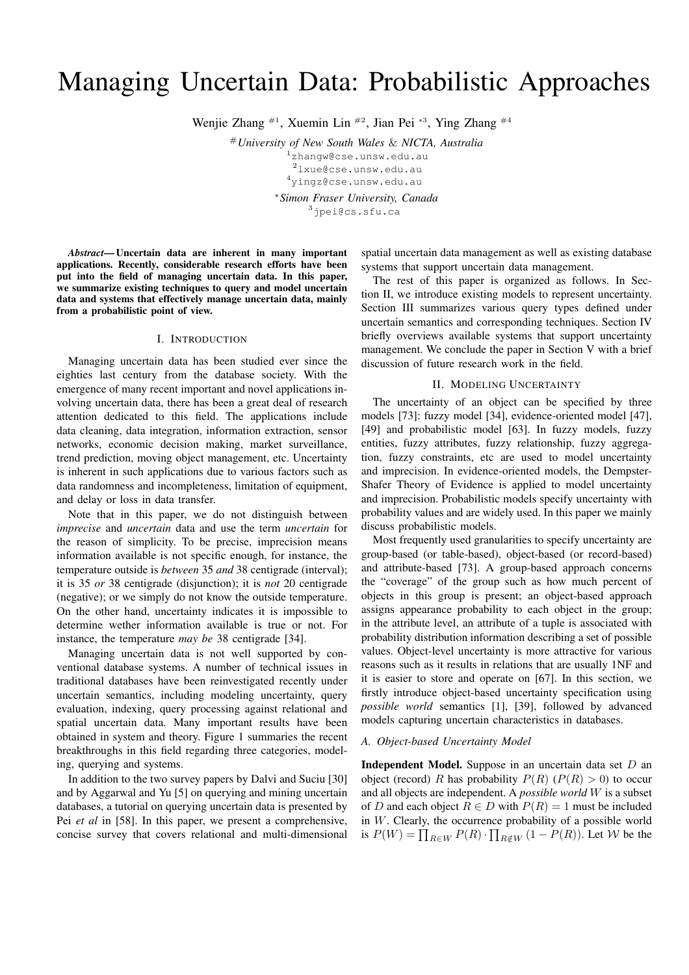# Managing Uncertain Data: Probabilistic Approaches

Wenjie Zhang <sup>#1</sup>, Xuemin Lin <sup>#2</sup>, Jian Pei <sup>\*3</sup>, Ying Zhang <sup>#4</sup>

#*University of New South Wales* & *NICTA, Australia* <sup>1</sup>zhangw@cse.unsw.edu.au

<sup>2</sup>lxue@cse.unsw.edu.au

<sup>4</sup>yingz@cse.unsw.edu.au

<sup>∗</sup>*Simon Fraser University, Canada*

<sup>3</sup>jpei@cs.sfu.ca

*Abstract*— Uncertain data are inherent in many important applications. Recently, considerable research efforts have been put into the field of managing uncertain data. In this paper, we summarize existing techniques to query and model uncertain data and systems that effectively manage uncertain data, mainly from a probabilistic point of view.

#### I. INTRODUCTION

Managing uncertain data has been studied ever since the eighties last century from the database society. With the emergence of many recent important and novel applications involving uncertain data, there has been a great deal of research attention dedicated to this field. The applications include data cleaning, data integration, information extraction, sensor networks, economic decision making, market surveillance, trend prediction, moving object management, etc. Uncertainty is inherent in such applications due to various factors such as data randomness and incompleteness, limitation of equipment, and delay or loss in data transfer.

Note that in this paper, we do not distinguish between *imprecise* and *uncertain* data and use the term *uncertain* for the reason of simplicity. To be precise, imprecision means information available is not specific enough, for instance, the temperature outside is *between* 35 *and* 38 centigrade (interval); it is 35 *or* 38 centigrade (disjunction); it is *not* 20 centigrade (negative); or we simply do not know the outside temperature. On the other hand, uncertainty indicates it is impossible to determine wether information available is true or not. For instance, the temperature *may be* 38 centigrade [34].

Managing uncertain data is not well supported by conventional database systems. A number of technical issues in traditional databases have been reinvestigated recently under uncertain semantics, including modeling uncertainty, query evaluation, indexing, query processing against relational and spatial uncertain data. Many important results have been obtained in system and theory. Figure 1 summaries the recent breakthroughs in this field regarding three categories, modeling, querying and systems.

In addition to the two survey papers by Dalvi and Suciu [30] and by Aggarwal and Yu [5] on querying and mining uncertain databases, a tutorial on querying uncertain data is presented by Pei *et al* in [58]. In this paper, we present a comprehensive, concise survey that covers relational and multi-dimensional

spatial uncertain data management as well as existing database systems that support uncertain data management.

The rest of this paper is organized as follows. In Section II, we introduce existing models to represent uncertainty. Section III summarizes various query types defined under uncertain semantics and corresponding techniques. Section IV briefly overviews available systems that support uncertainty management. We conclude the paper in Section V with a brief discussion of future research work in the field.

### II. MODELING UNCERTAINTY

The uncertainty of an object can be specified by three models [73]: fuzzy model [34], evidence-oriented model [47], [49] and probabilistic model [63]. In fuzzy models, fuzzy entities, fuzzy attributes, fuzzy relationship, fuzzy aggregation, fuzzy constraints, etc are used to model uncertainty and imprecision. In evidence-oriented models, the Dempster-Shafer Theory of Evidence is applied to model uncertainty and imprecision. Probabilistic models specify uncertainty with probability values and are widely used. In this paper we mainly discuss probabilistic models.

Most frequently used granularities to specify uncertainty are group-based (or table-based), object-based (or record-based) and attribute-based [73]. A group-based approach concerns the "coverage" of the group such as how much percent of objects in this group is present; an object-based approach assigns appearance probability to each object in the group; in the attribute level, an attribute of a tuple is associated with probability distribution information describing a set of possible values. Object-level uncertainty is more attractive for various reasons such as it results in relations that are usually 1NF and it is easier to store and operate on [67]. In this section, we firstly introduce object-based uncertainty specification using *possible world* semantics [1], [39], followed by advanced models capturing uncertain characteristics in databases.

## *A. Object-based Uncertainty Model*

Independent Model. Suppose in an uncertain data set D an object (record) R has probability  $P(R)$  ( $P(R) > 0$ ) to occur and all objects are independent. A *possible world* W is a subset of D and each object  $R \in D$  with  $P(R) = 1$  must be included in W. Clearly, the occurrence probability of a possible world in *W* . Clearly, the occurrence probability of a possible world<br>is  $P(W) = \prod_{R \in W} P(R) \cdot \prod_{R \notin W} (1 - P(R))$ . Let *W* be the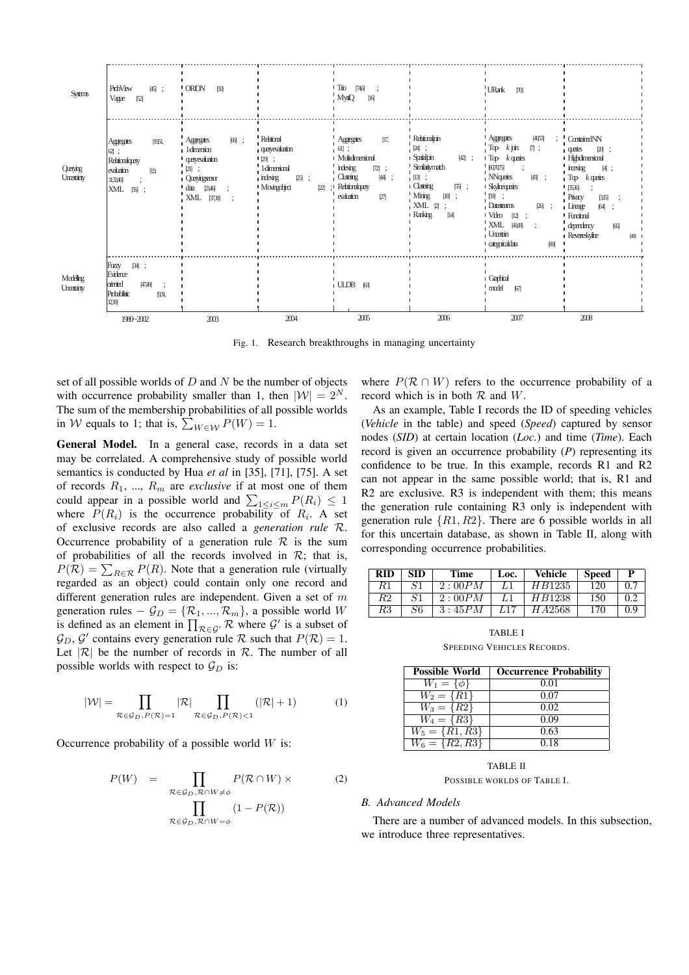| <b>Systems</b>                          | ProbView $[45]$ ;<br>Vague $[52]$                                                                     | $'ORION$ [50]                                                                                                                     |                                                                                                                                | $Trio [74, 6]$ ;<br>MystiQ [16]                                                                                                           |                                                                                                                                              | URank [70]                                                                                                                                                                                                                                                                            |                                                                                                                                                                                                                                                                     |
|-----------------------------------------|-------------------------------------------------------------------------------------------------------|-----------------------------------------------------------------------------------------------------------------------------------|--------------------------------------------------------------------------------------------------------------------------------|-------------------------------------------------------------------------------------------------------------------------------------------|----------------------------------------------------------------------------------------------------------------------------------------------|---------------------------------------------------------------------------------------------------------------------------------------------------------------------------------------------------------------------------------------------------------------------------------------|---------------------------------------------------------------------------------------------------------------------------------------------------------------------------------------------------------------------------------------------------------------------|
| Querying<br>Uncertainty $ 31, 32, 40$ ; | Aggregates [19, 51,<br>$62$ ];<br>Relational query<br>evaluation $[1, 9, 9]$<br>XML [56];             | Aggregates [66];<br>1-dimension<br><i>u</i> query evaluation<br>$[21]$ ;<br>Querying sensor<br>data $[23, 46]$ ;<br>XML [37, 38]; | Relational<br>query evaluation<br>$1$ [29];<br>1-dimensional<br>$\mu$ indexing [25];<br>'Moving object [22];' Relational query | Aggregates [17,<br>.611:<br>I Multi-dimensional I Spatial join [42];<br>indexing $[72]$ ;<br>$\Gamma$ Clustering [44];<br>evaluation [27] | Relational join<br>$[24]$ ;<br>Similarity match<br>$[13]$ ;<br>Clustering [55];<br>$^{\bullet}$ M ining $[18]$ ;<br>XML [2];<br>Ranking [14] | $'$ Aggregates $[40, 53]$ ;<br>$Top-k$ join [7];<br>$T$ op- $k$ queries<br>[60, 70, 75];<br>$\cdot$ NN queries [43];<br><b>Skyline</b> queries<br>$\frac{1}{2}$ [59];<br>Data streams $[26]$ ;<br>$\triangleright$ Video [12];<br>XML [41, 68];<br>Uncertain<br>categorical data [69] | Constrained NN<br>queries $[20]$ ;<br><b>High dimensional</b><br>$:$ incexing $[4]$ ;<br>$\sqrt{p}$ Top-k queries<br>$[35, 36]$ ;<br>Privacy $[3, 15]$ ;<br>$\mathsf{L}$ Lineage [64];<br><sup><i>I</i></sup> Functional<br>dependency [65]<br>Reverse skyline [48] |
| Modelling<br>Uncertainty                | Fuzzy [34];<br>Evidence<br>oriented [47, 49];<br>Probabilistic [9, 31,<br>32, 39]<br>$1980 \sim 2002$ | 2003                                                                                                                              | 2004                                                                                                                           | $ ULDB$ [63]<br>2005                                                                                                                      | 2006                                                                                                                                         | Graphical<br>model [67]<br>2007                                                                                                                                                                                                                                                       | 2008                                                                                                                                                                                                                                                                |

Fig. 1. Research breakthroughs in managing uncertainty

set of all possible worlds of  $D$  and  $N$  be the number of objects with occurrence probability smaller than 1, then  $|W| = 2^N$ . The sum of the membership probabilities of all possible worlds in *W* equals to 1; that is,  $\sum_{W \in W} P(W) = 1$ .

General Model. In a general case, records in a data set may be correlated. A comprehensive study of possible world semantics is conducted by Hua *et al* in [35], [71], [75]. A set of records  $R_1$ , ...,  $R_m$  are *exclusive* if at most one of them Following a possible world and  $\sum_{1 \le i \le m} P(R_i) \le 1$ where  $P(R_i)$  is the occurrence probability of  $R_i$ . A set of exclusive records are also called a *generation rule* R. Occurrence probability of a generation rule  $\mathcal R$  is the sum of probabilities of all the records involved in  $\mathcal{R}$ ; that is, or probabilities of all the records involved in  $\kappa$ ; that is,<br> $P(\mathcal{R}) = \sum_{R \in \mathcal{R}} P(R)$ . Note that a generation rule (virtually regarded as an object) could contain only one record and different generation rules are independent. Given a set of  $m$ generation rules  $-\mathcal{G}_D = \{R_1, ..., R_m\}$ , a possible world W generation rules  $- y_D = \{ \kappa_1, ..., \kappa_m \}$ , a possible world *W*<br>is defined as an element in  $\prod_{\mathcal{R} \in \mathcal{G}} R$ , where  $\mathcal{G}'$  is a subset of  $\mathcal{G}_D$ ,  $\mathcal{G}'$  contains every generation rule R such that  $P(\mathcal{R}) = 1$ . Let  $|\mathcal{R}|$  be the number of records in  $\mathcal{R}$ . The number of all possible worlds with respect to  $\mathcal{G}_D$  is:

$$
|\mathcal{W}| = \prod_{\mathcal{R} \in \mathcal{G}_D, P(\mathcal{R}) = 1} |\mathcal{R}| \prod_{\mathcal{R} \in \mathcal{G}_D, P(\mathcal{R}) < 1} (|\mathcal{R}| + 1) \tag{1}
$$

Occurrence probability of a possible world  $W$  is:

$$
P(W) = \prod_{\mathcal{R} \in \mathcal{G}_D, \mathcal{R} \cap W \neq \phi} P(\mathcal{R} \cap W) \times
$$
  

$$
\prod_{\mathcal{R} \in \mathcal{G}_D, \mathcal{R} \cap W = \phi} (1 - P(\mathcal{R}))
$$
 (2)

where  $P(\mathcal{R} \cap W)$  refers to the occurrence probability of a record which is in both  $R$  and  $W$ .

As an example, Table I records the ID of speeding vehicles (*Vehicle* in the table) and speed (*Speed*) captured by sensor nodes (*SID*) at certain location (*Loc.*) and time (*Time*). Each record is given an occurrence probability (*P*) representing its confidence to be true. In this example, records R1 and R2 can not appear in the same possible world; that is, R1 and R2 are exclusive. R3 is independent with them; this means the generation rule containing R3 only is independent with generation rule  $\{R1, R2\}$ . There are 6 possible worlds in all for this uncertain database, as shown in Table II, along with corresponding occurrence probabilities.

| <b>RID</b> | SID | Time   | Loc. | Vehicle | <b>Speed</b> |     |
|------------|-----|--------|------|---------|--------------|-----|
| R1         | S1  | 2:00PM | L1   | H B1235 | 120          |     |
| R2         | 81  | 2:00PM | L1   | H B1238 | 150          |     |
| R3         | S6  | 3:45PM | L17  | HA2568  | 170          | 0.9 |

TABLE I SPEEDING VEHICLES RECORDS.

| <b>Possible World</b> | <b>Occurrence Probability</b> |
|-----------------------|-------------------------------|
| $W_1 = \{\phi\}$      | 0.01                          |
| $W_2 = \{R1\}$        | 0.07                          |
| $W_3 = \{R2\}$        | 0.02                          |
| $W_4 = \{R3\}$        | 0.09                          |
| $W_5 = \{R1, R3\}$    | 0.63                          |
| $W_6 = \{R2, R3\}$    | 0.18                          |

### TABLE II POSSIBLE WORLDS OF TABLE I.

#### *B. Advanced Models*

There are a number of advanced models. In this subsection, we introduce three representatives.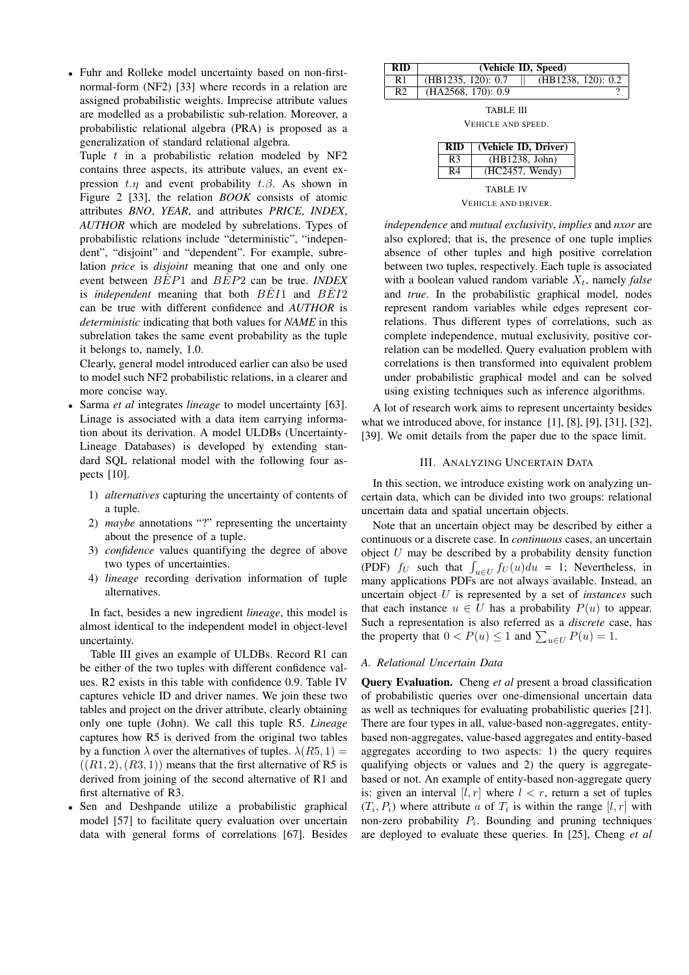• Fuhr and Rolleke model uncertainty based on non-firstnormal-form (NF2) [33] where records in a relation are assigned probabilistic weights. Imprecise attribute values are modelled as a probabilistic sub-relation. Moreover, a probabilistic relational algebra (PRA) is proposed as a generalization of standard relational algebra.

Tuple  $t$  in a probabilistic relation modeled by NF2 contains three aspects, its attribute values, an event expression  $t.\eta$  and event probability  $t.\beta$ . As shown in Figure 2 [33], the relation *BOOK* consists of atomic attributes *BNO*, *YEAR*, and attributes *PRICE*, *INDEX*, *AUTHOR* which are modeled by subrelations. Types of probabilistic relations include "deterministic", "independent", "disjoint" and "dependent". For example, subrelation *price* is *disjoint* meaning that one and only one event between  $B\hat{E}P1$  and  $B\hat{E}P2$  can be true. *INDEX* is *independent* meaning that both  $B\hat{E}I1$  and  $B\hat{E}I2$ can be true with different confidence and *AUTHOR* is *deterministic* indicating that both values for *NAME* in this subrelation takes the same event probability as the tuple it belongs to, namely, 1.0.

Clearly, general model introduced earlier can also be used to model such NF2 probabilistic relations, in a clearer and more concise way.

- Sarma *et al* integrates *lineage* to model uncertainty [63]. Linage is associated with a data item carrying information about its derivation. A model ULDBs (Uncertainty-Lineage Databases) is developed by extending standard SQL relational model with the following four aspects [10].
	- 1) *alternatives* capturing the uncertainty of contents of a tuple.
	- 2) *maybe* annotations "?" representing the uncertainty about the presence of a tuple.
	- 3) *confidence* values quantifying the degree of above two types of uncertainties.
	- 4) *lineage* recording derivation information of tuple alternatives.

In fact, besides a new ingredient *lineage*, this model is almost identical to the independent model in object-level uncertainty.

Table III gives an example of ULDBs. Record R1 can be either of the two tuples with different confidence values. R2 exists in this table with confidence 0.9. Table IV captures vehicle ID and driver names. We join these two tables and project on the driver attribute, clearly obtaining only one tuple (John). We call this tuple R5. *Lineage* captures how R5 is derived from the original two tables by a function  $\lambda$  over the alternatives of tuples.  $\lambda(R5, 1) =$  $((R1, 2), (R3, 1))$  means that the first alternative of R5 is derived from joining of the second alternative of R1 and first alternative of R3.

• Sen and Deshpande utilize a probabilistic graphical model [57] to facilitate query evaluation over uncertain data with general forms of correlations [67]. Besides

| RID | (Vehicle ID, Speed)                         |
|-----|---------------------------------------------|
| R 1 | $(HB1238, 120)$ : 0.2<br>(HB1235, 120): 0.7 |
| R2  | $(HA2568, 170)$ : 0.9                       |

TABLE III

VEHICLE AND SPEED.

| RID                 | (Vehicle ID, Driver) |  |  |  |
|---------------------|----------------------|--|--|--|
| R <sub>3</sub>      | (HB1238, John)       |  |  |  |
| R4                  | (HC2457, Wendy)      |  |  |  |
| <b>TABLE IV</b>     |                      |  |  |  |
| VEHICLE AND DRIVER. |                      |  |  |  |

*independence* and *mutual exclusivity*, *implies* and *nxor* are also explored; that is, the presence of one tuple implies absence of other tuples and high positive correlation between two tuples, respectively. Each tuple is associated with a boolean valued random variable  $X_t$ , namely *false* and *true*. In the probabilistic graphical model, nodes represent random variables while edges represent correlations. Thus different types of correlations, such as complete independence, mutual exclusivity, positive correlation can be modelled. Query evaluation problem with correlations is then transformed into equivalent problem under probabilistic graphical model and can be solved using existing techniques such as inference algorithms.

A lot of research work aims to represent uncertainty besides what we introduced above, for instance [1], [8], [9], [31], [32], [39]. We omit details from the paper due to the space limit.

## III. ANALYZING UNCERTAIN DATA

In this section, we introduce existing work on analyzing uncertain data, which can be divided into two groups: relational uncertain data and spatial uncertain objects.

Note that an uncertain object may be described by either a continuous or a discrete case. In *continuous* cases, an uncertain object  $U$  may be described by a probability density function boyect U may be described by a probability density function<br>(PDF)  $f_U$  such that  $\int_{u \in U} f_U(u) du = 1$ ; Nevertheless, in many applications PDFs are not always available. Instead, an uncertain object U is represented by a set of *instances* such that each instance  $u \in U$  has a probability  $P(u)$  to appear. Such a representation is also referred as a *discrete* case, has Such a representation is also referred as a *also refere* can<br>the property that  $0 < P(u) \le 1$  and  $\sum_{u \in U} P(u) = 1$ .

#### *A. Relational Uncertain Data*

Query Evaluation. Cheng *et al* present a broad classification of probabilistic queries over one-dimensional uncertain data as well as techniques for evaluating probabilistic queries [21]. There are four types in all, value-based non-aggregates, entitybased non-aggregates, value-based aggregates and entity-based aggregates according to two aspects: 1) the query requires qualifying objects or values and 2) the query is aggregatebased or not. An example of entity-based non-aggregate query is: given an interval  $[l, r]$  where  $l < r$ , return a set of tuples  $(T_i, P_i)$  where attribute a of  $T_i$  is within the range  $[l, r]$  with non-zero probability  $P_i$ . Bounding and pruning techniques are deployed to evaluate these queries. In [25], Cheng *et al*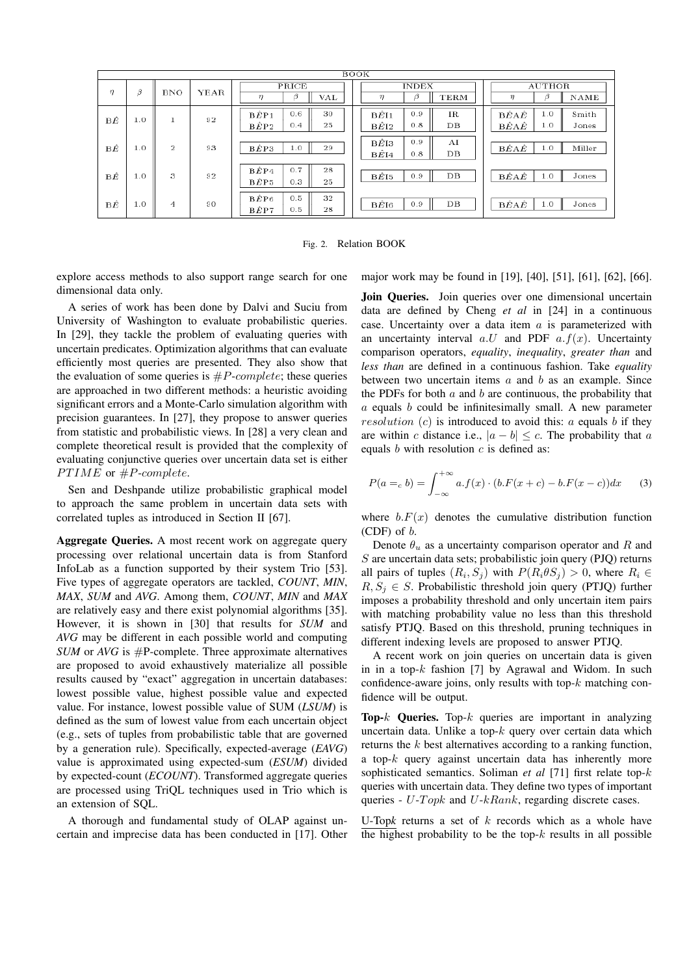| <b>BOOK</b> |     |            |      |                                                |                                                           |                                                                                                                          |  |
|-------------|-----|------------|------|------------------------------------------------|-----------------------------------------------------------|--------------------------------------------------------------------------------------------------------------------------|--|
| η           | Β   | <b>BNO</b> | YEAR | PRICE<br>β<br>η<br>VAL                         | <b>INDEX</b><br>β<br><b>TERM</b><br>η                     | <b>AUTHOR</b><br>β<br><b>NAME</b><br>η                                                                                   |  |
| ΒÊ          | 1.0 |            | 92   | 0.6<br>30<br>$B\hat{E}P1$<br>BÊP2<br>0.4<br>25 | 0.9<br>$_{\rm IR}$<br>BEI1<br>0.8<br>DB<br>$B\tilde{E}I2$ | $\hat{\mathbf{B}}\hat{E}\mathbf{A}\hat{E}$<br>1.0<br>Smith<br>$\hat{\mathbf{B}}\hat{E}\mathbf{A}\hat{E}$<br>1.0<br>Jones |  |
| ΒÊ          | 1.0 | 2          | 93   | BÊP3<br>1.0<br>29                              | 0.9<br>AI<br>$B\tilde{E}$ I3<br>DВ<br>0.8<br>$B\hat{E}I4$ | BÊAÊ<br>1.0<br>Miller                                                                                                    |  |
| ΒÊ          | 1.0 | 3          | 92   | BÊP4<br>0.7<br>28<br>BÊP5<br>0.3<br>25         | DB<br>$B\hat{E}I5$<br>0.9                                 | $\hat{\mathbf{B}}\hat{E}\mathbf{A}\hat{E}$<br>Jones<br>1.0                                                               |  |
| ВÊ          | 1.0 | 4          | 90   | 0.5<br>32<br>$B\hat{E}P6$<br>BÊP7<br>0.5<br>28 | DB<br>0.9<br>$B\tilde{E}I6$                               | $\hat{\mathbf{B}}\hat{E}\mathbf{A}\hat{E}$<br>Jones<br>1.0                                                               |  |

Fig. 2. Relation BOOK

explore access methods to also support range search for one dimensional data only.

A series of work has been done by Dalvi and Suciu from University of Washington to evaluate probabilistic queries. In [29], they tackle the problem of evaluating queries with uncertain predicates. Optimization algorithms that can evaluate efficiently most queries are presented. They also show that the evaluation of some queries is  $\#P\text{-}complete$ ; these queries are approached in two different methods: a heuristic avoiding significant errors and a Monte-Carlo simulation algorithm with precision guarantees. In [27], they propose to answer queries from statistic and probabilistic views. In [28] a very clean and complete theoretical result is provided that the complexity of evaluating conjunctive queries over uncertain data set is either  $PTIME$  or  $#P-complete.$ 

Sen and Deshpande utilize probabilistic graphical model to approach the same problem in uncertain data sets with correlated tuples as introduced in Section II [67].

Aggregate Queries. A most recent work on aggregate query processing over relational uncertain data is from Stanford InfoLab as a function supported by their system Trio [53]. Five types of aggregate operators are tackled, *COUNT*, *MIN*, *MAX*, *SUM* and *AVG*. Among them, *COUNT*, *MIN* and *MAX* are relatively easy and there exist polynomial algorithms [35]. However, it is shown in [30] that results for *SUM* and *AVG* may be different in each possible world and computing *SUM* or *AVG* is  $#P$ -complete. Three approximate alternatives are proposed to avoid exhaustively materialize all possible results caused by "exact" aggregation in uncertain databases: lowest possible value, highest possible value and expected value. For instance, lowest possible value of SUM (*LSUM*) is defined as the sum of lowest value from each uncertain object (e.g., sets of tuples from probabilistic table that are governed by a generation rule). Specifically, expected-average (*EAVG*) value is approximated using expected-sum (*ESUM*) divided by expected-count (*ECOUNT*). Transformed aggregate queries are processed using TriQL techniques used in Trio which is an extension of SQL.

A thorough and fundamental study of OLAP against uncertain and imprecise data has been conducted in [17]. Other major work may be found in [19], [40], [51], [61], [62], [66].

Join Queries. Join queries over one dimensional uncertain data are defined by Cheng *et al* in [24] in a continuous case. Uncertainty over a data item  $a$  is parameterized with an uncertainty interval  $a.U$  and PDF  $a.f(x)$ . Uncertainty comparison operators, *equality*, *inequality*, *greater than* and *less than* are defined in a continuous fashion. Take *equality* between two uncertain items  $a$  and  $b$  as an example. Since the PDFs for both  $a$  and  $b$  are continuous, the probability that  $a$  equals  $b$  could be infinitesimally small. A new parameter resolution  $(c)$  is introduced to avoid this: a equals b if they are within c distance i.e.,  $|a - b| \leq c$ . The probability that a equals  $b$  with resolution  $c$  is defined as:

$$
P(a = c b) = \int_{-\infty}^{+\infty} a f(x) \cdot (b.F(x + c) - b.F(x - c)) dx
$$
 (3)

where  $b.F(x)$  denotes the cumulative distribution function (CDF) of  $b$ .

Denote  $\theta_u$  as a uncertainty comparison operator and R and S are uncertain data sets; probabilistic join query (PJQ) returns all pairs of tuples  $(R_i, S_j)$  with  $P(R_i \theta S_j) > 0$ , where  $R_i \in$  $R, S_i \in S$ . Probabilistic threshold join query (PTJQ) further imposes a probability threshold and only uncertain item pairs with matching probability value no less than this threshold satisfy PTJQ. Based on this threshold, pruning techniques in different indexing levels are proposed to answer PTJQ.

A recent work on join queries on uncertain data is given in in a top- $k$  fashion [7] by Agrawal and Widom. In such confidence-aware joins, only results with top- $k$  matching confidence will be output.

Top- $k$  Queries. Top- $k$  queries are important in analyzing uncertain data. Unlike a top- $k$  query over certain data which returns the k best alternatives according to a ranking function, a top- $k$  query against uncertain data has inherently more sophisticated semantics. Soliman *et al* [71] first relate top-k queries with uncertain data. They define two types of important queries -  $U$ - $Topk$  and  $U$ - $kRank$ , regarding discrete cases.

U-Top*k* returns a set of k records which as a whole have the highest probability to be the top- $k$  results in all possible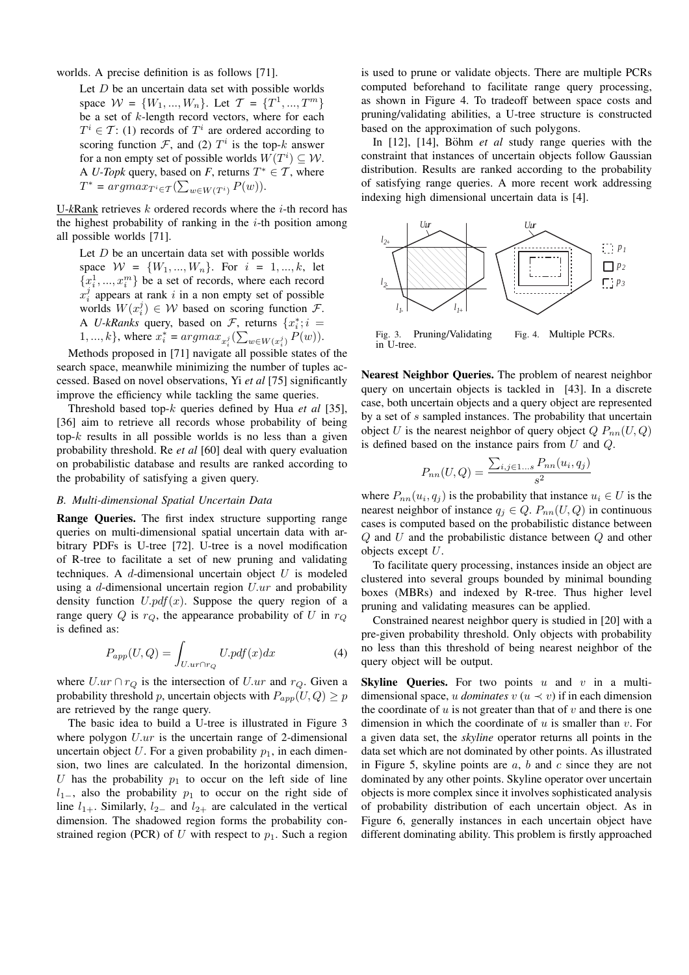worlds. A precise definition is as follows [71].

Let  $D$  be an uncertain data set with possible worlds space  $W = \{W_1, ..., W_n\}$ . Let  $T = \{T^1, ..., T^m\}$ be a set of k-length record vectors, where for each  $T^i \in \mathcal{T}$ : (1) records of  $T^i$  are ordered according to scoring function  $\mathcal{F}$ , and (2)  $T^i$  is the top-k answer for a non empty set of possible worlds  $W(T^i) \subseteq W$ . A *U-Topk* query, based on *F*, returns  $T^* \in \mathcal{T}$ , where  $T^* = argmax_{T^i \in T} (\sum_{w \in W(T^i)} P(w)).$ 

U-*k*Rank retrieves k ordered records where the i-th record has the highest probability of ranking in the  $i$ -th position among all possible worlds [71].

Let  $D$  be an uncertain data set with possible worlds space  $W = \{W_1, ..., W_n\}$ . For  $i = 1, ..., k$ , let  ${x_i^1, ..., x_i^m}$  be a set of records, where each record  $x_i^j$  appears at rank i in a non empty set of possible worlds  $W(x_i^j) \in W$  based on scoring function  $\mathcal{F}$ . A *U-kRanks* query, based on  $\mathcal{F}$ , returns  $\{x_i^* : i =$ 1,..., k}, where  $x_i^* = argmax_{x_i^j} (\sum_{w \in W(x_i^j)} P(w))$ .

Methods proposed in [71] navigate all possible states of the search space, meanwhile minimizing the number of tuples accessed. Based on novel observations, Yi *et al* [75] significantly improve the efficiency while tackling the same queries.

Threshold based top-k queries defined by Hua *et al* [35], [36] aim to retrieve all records whose probability of being top- $k$  results in all possible worlds is no less than a given probability threshold. Re *et al* [60] deal with query evaluation on probabilistic database and results are ranked according to the probability of satisfying a given query.

#### *B. Multi-dimensional Spatial Uncertain Data*

Range Queries. The first index structure supporting range queries on multi-dimensional spatial uncertain data with arbitrary PDFs is U-tree [72]. U-tree is a novel modification of R-tree to facilitate a set of new pruning and validating techniques. A  $d$ -dimensional uncertain object  $U$  is modeled using a d-dimensional uncertain region  $U \cdot ur$  and probability density function  $U.pdf(x)$ . Suppose the query region of a range query Q is  $r_Q$ , the appearance probability of U in  $r_Q$ is defined as:

$$
P_{app}(U,Q) = \int_{U.ur \cap r_Q} U.pdf(x)dx \tag{4}
$$

where  $U \cdot ur \cap r_Q$  is the intersection of  $U \cdot ur$  and  $r_Q$ . Given a probability threshold p, uncertain objects with  $P_{app}(U,Q) \geq p$ are retrieved by the range query.

The basic idea to build a U-tree is illustrated in Figure 3 where polygon  $U \cdot ur$  is the uncertain range of 2-dimensional uncertain object  $U$ . For a given probability  $p_1$ , in each dimension, two lines are calculated. In the horizontal dimension, U has the probability  $p_1$  to occur on the left side of line  $l_{1-}$ , also the probability  $p_1$  to occur on the right side of line  $l_{1+}$ . Similarly,  $l_{2-}$  and  $l_{2+}$  are calculated in the vertical dimension. The shadowed region forms the probability constrained region (PCR) of U with respect to  $p_1$ . Such a region

is used to prune or validate objects. There are multiple PCRs computed beforehand to facilitate range query processing, as shown in Figure 4. To tradeoff between space costs and pruning/validating abilities, a U-tree structure is constructed based on the approximation of such polygons.

In [12], [14], Böhm *et al* study range queries with the constraint that instances of uncertain objects follow Gaussian distribution. Results are ranked according to the probability of satisfying range queries. A more recent work addressing indexing high dimensional uncertain data is [4].



Fig. 3. Pruning/Validating in U-tree. Fig. 4. Multiple PCRs.

Nearest Neighbor Queries. The problem of nearest neighbor query on uncertain objects is tackled in [43]. In a discrete case, both uncertain objects and a query object are represented by a set of s sampled instances. The probability that uncertain object U is the nearest neighbor of query object  $Q P_{nn}(U,Q)$ is defined based on the instance pairs from  $U$  and  $Q$ .

$$
P_{nn}(U,Q) = \frac{\sum_{i,j \in 1...s} P_{nn}(u_i, q_j)}{s^2}
$$

where  $P_{nn}(u_i, q_j)$  is the probability that instance  $u_i \in U$  is the nearest neighbor of instance  $q_j \in Q$ .  $P_{nn}(U, Q)$  in continuous cases is computed based on the probabilistic distance between  $Q$  and  $U$  and the probabilistic distance between  $Q$  and other objects except U.

To facilitate query processing, instances inside an object are clustered into several groups bounded by minimal bounding boxes (MBRs) and indexed by R-tree. Thus higher level pruning and validating measures can be applied.

Constrained nearest neighbor query is studied in [20] with a pre-given probability threshold. Only objects with probability no less than this threshold of being nearest neighbor of the query object will be output.

**Skyline Queries.** For two points  $u$  and  $v$  in a multidimensional space, u *dominates*  $v$  ( $u \prec v$ ) if in each dimension the coordinate of  $u$  is not greater than that of  $v$  and there is one dimension in which the coordinate of  $u$  is smaller than  $v$ . For a given data set, the *skyline* operator returns all points in the data set which are not dominated by other points. As illustrated in Figure 5, skyline points are  $a, b$  and  $c$  since they are not dominated by any other points. Skyline operator over uncertain objects is more complex since it involves sophisticated analysis of probability distribution of each uncertain object. As in Figure 6, generally instances in each uncertain object have different dominating ability. This problem is firstly approached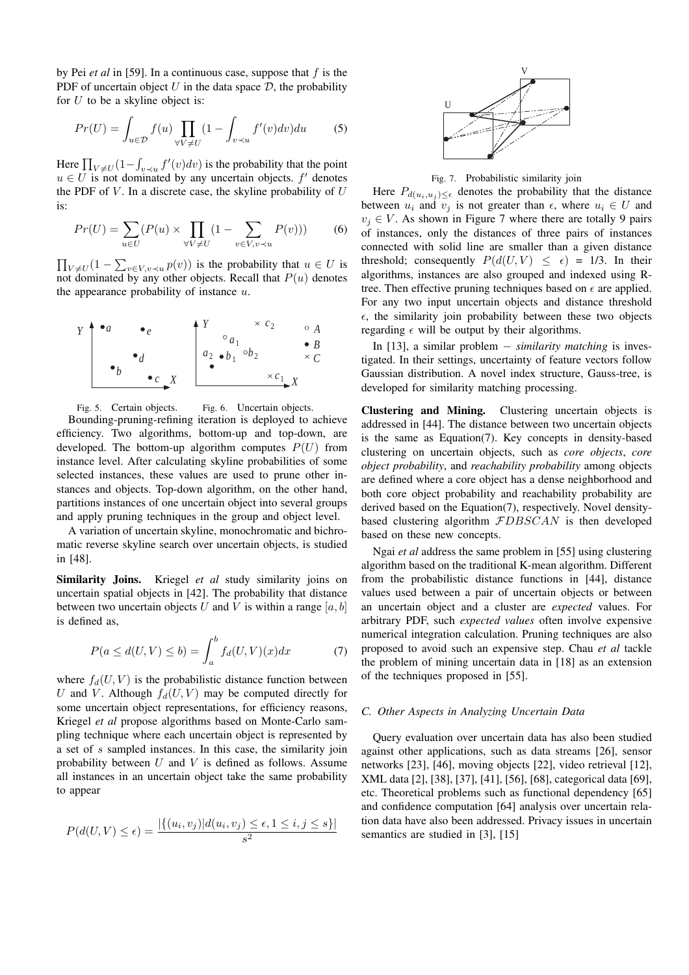by Pei *et al* in [59]. In a continuous case, suppose that f is the PDF of uncertain object  $U$  in the data space  $D$ , the probability for  $U$  to be a skyline object is:

$$
Pr(U) = \int_{u \in \mathcal{D}} f(u) \prod_{\forall V \neq U} (1 - \int_{v \prec u} f'(v) dv) du \tag{5}
$$

Here  $\prod_{V \neq U} (1 -$ R  $\int_{v \prec u} f'(v) dv$  is the probability that the point  $u \in U$  is not dominated by any uncertain objects.  $f'$  denotes the PDF of  $V$ . In a discrete case, the skyline probability of  $U$ is:

$$
Pr(U) = \sum_{u \in U} (P(u) \times \prod_{\forall V \neq U} (1 - \sum_{v \in V, v \prec u} P(v))) \tag{6}
$$

 $\overline{a}$  $V \neq U$  $\left(1 - \sum_{n=1}^{\infty} \frac{1}{n} \right)$  $v \in V, v \prec u} p(v)$  is the probability that  $u \in U$  is not dominated by any other objects. Recall that  $P(u)$  denotes the appearance probability of instance  $u$ .



Fig. 5. Certain objects. Fig. 6. Uncertain objects. Bounding-pruning-refining iteration is deployed to achieve efficiency. Two algorithms, bottom-up and top-down, are developed. The bottom-up algorithm computes  $P(U)$  from instance level. After calculating skyline probabilities of some selected instances, these values are used to prune other instances and objects. Top-down algorithm, on the other hand, partitions instances of one uncertain object into several groups and apply pruning techniques in the group and object level.

A variation of uncertain skyline, monochromatic and bichromatic reverse skyline search over uncertain objects, is studied in [48].

Similarity Joins. Kriegel et al study similarity joins on uncertain spatial objects in [42]. The probability that distance between two uncertain objects U and V is within a range  $[a, b]$ is defined as,

$$
P(a \le d(U, V) \le b) = \int_{a}^{b} f_d(U, V)(x) dx \tag{7}
$$

where  $f_d(U, V)$  is the probabilistic distance function between U and V. Although  $f_d(U, V)$  may be computed directly for some uncertain object representations, for efficiency reasons, Kriegel *et al* propose algorithms based on Monte-Carlo sampling technique where each uncertain object is represented by a set of s sampled instances. In this case, the similarity join probability between  $U$  and  $V$  is defined as follows. Assume all instances in an uncertain object take the same probability to appear

$$
P(d(U,V) \le \epsilon) = \frac{|\{(u_i, v_j) | d(u_i, v_j) \le \epsilon, 1 \le i, j \le s\}|}{s^2}
$$



Fig. 7. Probabilistic similarity join

Here  $P_{d(u_i, u_j) \leq \epsilon}$  denotes the probability that the distance between  $u_i$  and  $v_j$  is not greater than  $\epsilon$ , where  $u_i \in U$  and  $v_j \in V$ . As shown in Figure 7 where there are totally 9 pairs of instances, only the distances of three pairs of instances connected with solid line are smaller than a given distance threshold; consequently  $P(d(U, V) \leq \epsilon) = 1/3$ . In their algorithms, instances are also grouped and indexed using Rtree. Then effective pruning techniques based on  $\epsilon$  are applied. For any two input uncertain objects and distance threshold  $\epsilon$ , the similarity join probability between these two objects regarding  $\epsilon$  will be output by their algorithms.

In [13], a similar problem − *similarity matching* is investigated. In their settings, uncertainty of feature vectors follow Gaussian distribution. A novel index structure, Gauss-tree, is developed for similarity matching processing.

Clustering and Mining. Clustering uncertain objects is addressed in [44]. The distance between two uncertain objects is the same as Equation(7). Key concepts in density-based clustering on uncertain objects, such as *core objects*, *core object probability*, and *reachability probability* among objects are defined where a core object has a dense neighborhood and both core object probability and reachability probability are derived based on the Equation(7), respectively. Novel densitybased clustering algorithm  $FDBSCAN$  is then developed based on these new concepts.

Ngai *et al* address the same problem in [55] using clustering algorithm based on the traditional K-mean algorithm. Different from the probabilistic distance functions in [44], distance values used between a pair of uncertain objects or between an uncertain object and a cluster are *expected* values. For arbitrary PDF, such *expected values* often involve expensive numerical integration calculation. Pruning techniques are also proposed to avoid such an expensive step. Chau *et al* tackle the problem of mining uncertain data in [18] as an extension of the techniques proposed in [55].

## *C. Other Aspects in Analyzing Uncertain Data*

Query evaluation over uncertain data has also been studied against other applications, such as data streams [26], sensor networks [23], [46], moving objects [22], video retrieval [12], XML data [2], [38], [37], [41], [56], [68], categorical data [69], etc. Theoretical problems such as functional dependency [65] and confidence computation [64] analysis over uncertain relation data have also been addressed. Privacy issues in uncertain semantics are studied in [3], [15]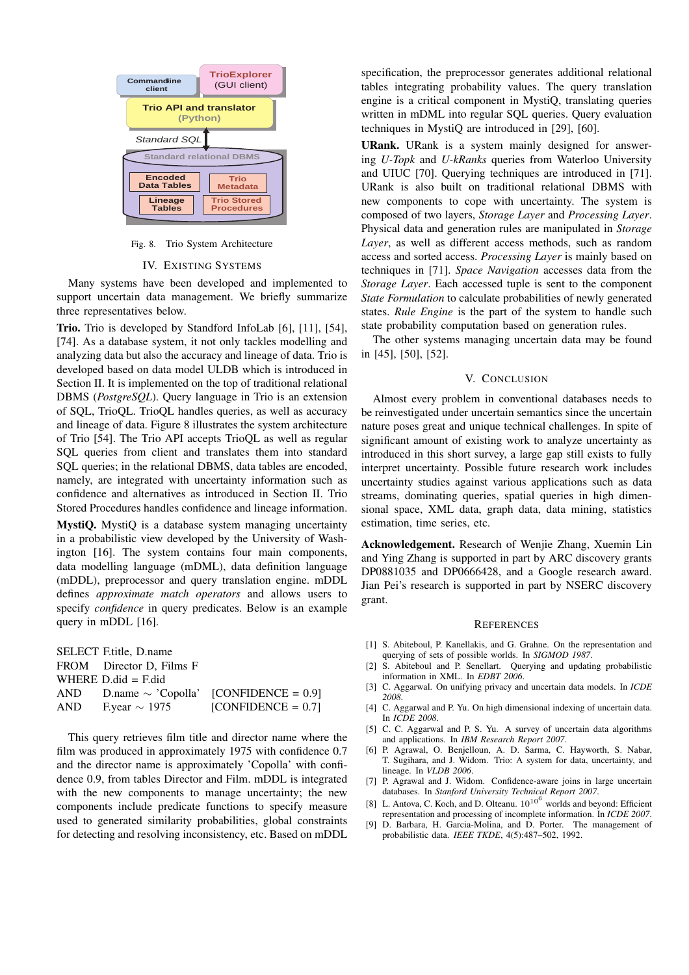

Fig. 8. Trio System Architecture

#### IV. EXISTING SYSTEMS

Many systems have been developed and implemented to support uncertain data management. We briefly summarize three representatives below.

Trio. Trio is developed by Standford InfoLab [6], [11], [54], [74]. As a database system, it not only tackles modelling and analyzing data but also the accuracy and lineage of data. Trio is developed based on data model ULDB which is introduced in Section II. It is implemented on the top of traditional relational DBMS (*PostgreSQL*). Query language in Trio is an extension of SQL, TrioQL. TrioQL handles queries, as well as accuracy and lineage of data. Figure 8 illustrates the system architecture of Trio [54]. The Trio API accepts TrioQL as well as regular SQL queries from client and translates them into standard SQL queries; in the relational DBMS, data tables are encoded, namely, are integrated with uncertainty information such as confidence and alternatives as introduced in Section II. Trio Stored Procedures handles confidence and lineage information.

MystiQ. MystiQ is a database system managing uncertainty in a probabilistic view developed by the University of Washington [16]. The system contains four main components, data modelling language (mDML), data definition language (mDDL), preprocessor and query translation engine. mDDL defines *approximate match operators* and allows users to specify *confidence* in query predicates. Below is an example query in mDDL [16].

|     | <b>SELECT F.title, D.name</b> |                                                |
|-----|-------------------------------|------------------------------------------------|
|     | FROM Director D, Films F      |                                                |
|     | WHERE $D$ did = $F$ did       |                                                |
|     |                               | AND D.name $\sim$ 'Copolla' [CONFIDENCE = 0.9] |
| AND | F.year $\sim$ 1975            | $[CONFIDENCE = 0.7]$                           |

This query retrieves film title and director name where the film was produced in approximately 1975 with confidence 0.7 and the director name is approximately 'Copolla' with confidence 0.9, from tables Director and Film. mDDL is integrated with the new components to manage uncertainty; the new components include predicate functions to specify measure used to generated similarity probabilities, global constraints for detecting and resolving inconsistency, etc. Based on mDDL specification, the preprocessor generates additional relational tables integrating probability values. The query translation engine is a critical component in MystiQ, translating queries written in mDML into regular SQL queries. Query evaluation techniques in MystiQ are introduced in [29], [60].

URank. URank is a system mainly designed for answering *U-Topk* and *U-kRanks* queries from Waterloo University and UIUC [70]. Querying techniques are introduced in [71]. URank is also built on traditional relational DBMS with new components to cope with uncertainty. The system is composed of two layers, *Storage Layer* and *Processing Layer*. Physical data and generation rules are manipulated in *Storage Layer*, as well as different access methods, such as random access and sorted access. *Processing Layer* is mainly based on techniques in [71]. *Space Navigation* accesses data from the *Storage Layer*. Each accessed tuple is sent to the component *State Formulation* to calculate probabilities of newly generated states. *Rule Engine* is the part of the system to handle such state probability computation based on generation rules.

The other systems managing uncertain data may be found in [45], [50], [52].

#### V. CONCLUSION

Almost every problem in conventional databases needs to be reinvestigated under uncertain semantics since the uncertain nature poses great and unique technical challenges. In spite of significant amount of existing work to analyze uncertainty as introduced in this short survey, a large gap still exists to fully interpret uncertainty. Possible future research work includes uncertainty studies against various applications such as data streams, dominating queries, spatial queries in high dimensional space, XML data, graph data, data mining, statistics estimation, time series, etc.

Acknowledgement. Research of Wenjie Zhang, Xuemin Lin and Ying Zhang is supported in part by ARC discovery grants DP0881035 and DP0666428, and a Google research award. Jian Pei's research is supported in part by NSERC discovery grant.

#### **REFERENCES**

- [1] S. Abiteboul, P. Kanellakis, and G. Grahne. On the representation and querying of sets of possible worlds. In *SIGMOD 1987*.
- [2] S. Abiteboul and P. Senellart. Querying and updating probabilistic information in XML. In *EDBT 2006*.
- [3] C. Aggarwal. On unifying privacy and uncertain data models. In *ICDE 2008*.
- [4] C. Aggarwal and P. Yu. On high dimensional indexing of uncertain data. In *ICDE 2008*.
- [5] C. C. Aggarwal and P. S. Yu. A survey of uncertain data algorithms and applications. In *IBM Research Report 2007*.
- [6] P. Agrawal, O. Benjelloun, A. D. Sarma, C. Hayworth, S. Nabar, T. Sugihara, and J. Widom. Trio: A system for data, uncertainty, and lineage. In *VLDB 2006*.
- [7] P. Agrawal and J. Widom. Confidence-aware joins in large uncertain databases. In *Stanford University Technical Report 2007*.
- [8] L. Antova, C. Koch, and D. Olteanu.  $10^{10^6}$  worlds and beyond: Efficient representation and processing of incomplete information. In *ICDE 2007*.
- [9] D. Barbara, H. Garcia-Molina, and D. Porter. The management of probabilistic data. *IEEE TKDE*, 4(5):487–502, 1992.